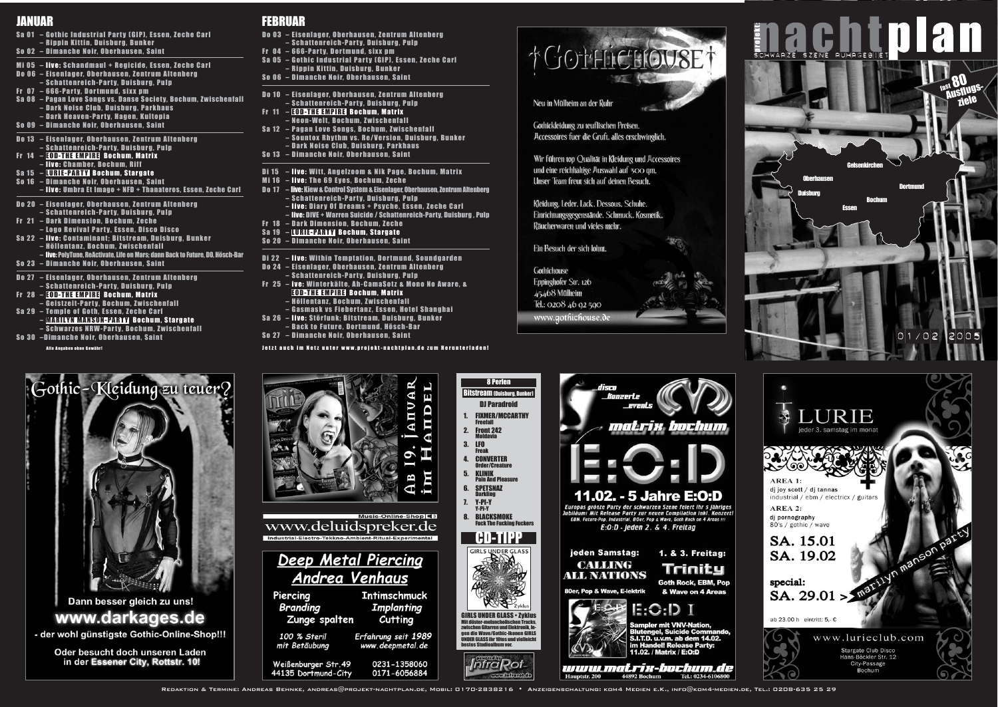



GIRLS UNDER GLASS • Zyklus **Ien Tracks** zwischen Gitarren und Elektronik, legen die Wave/Gothic-Ikonen GIRLS UNDER GLASS ihr 10tes und vielleicht bestes Studioalbum vor.







**THE THE THE THE LIBRARY PROPERTY AT A PROPERTY ASSAULT TO A 44892 Bochum Tel.: 0234-6106800** 

Redaktion & Termine: Andreas Behnke, andreas@projekt-nachtplan.de, Mobil: 0170-2838216 • Anzeigenschaltung: kom4 Medien e.K., info@kom4-medien.de, Tel.: 0208-635 25 29

8 Perlen Bitstream (Duisburg, Bunker)





## JANUAR FEBRUAR

#### Alle Angaben ohne Gewähr!







dj joy scott / dj tannas industrial / ebm / electricx / guitars

AREA 2: dj pornography 80's / gothic / wave

SA. 15.01 SA. 19.02

special: SA. 29.01 >

ab 23.00 h eintritt: 5,- $\epsilon$ 



City-Passage **Bochum** 

Jetzt auch im Netz unter www.projekt-nachtplan.de zum Herunterladen!





Oder besucht doch unseren Laden in der Essener City, Rottstr. 10!



100 % Steril Erfahrung seit 1989 mit Betäubung www.deepmetal.de

Weißenburger Str. 49 0231-1358060 44135 Dortmund-City 0171-6056884

- Do 03 Eisenlager, Oberhausen, Zentrum Altenberg – Schattenreich-Party, Duisburg, Pulp
- Fr 04 666-Party, Dortmund, sixx pm
- Sa 05 Gothic Industrial Party (GIP), Essen, Zeche Carl – Rippin Kittin, Duisburg, Bunker
- So 06 Dimanche Noir, Oberhausen, Saint
- Do 10 Eisenlager, Oberhausen, Zentrum Altenberg – Schattenreich-Party, Duisburg, Pulp
- Fr 11 EOD-THE EMPIRE Bochum, Matrix – Neon-Welt, Bochum, Zwischenfall
- Sa 12 Pagan Love Songs, Bochum, Zwischenfall – Sountox Rhythm vs. Re/Version, Duisburg, Bunker – Dark Noise Club, Duisburg, Parkhaus
- So 13 Dimanche Noir, Oberhausen, Saint
- Di 15 live: Witt, Angelzoom & Nik Page, Bochum, Matrix
- Mi 16 live: The 69 Eyes, Bochum, Zeche
- Do 17 live: Kiew & Control System & Eisenlager, Oberhausen, Zentrum Altenberg – Schattenreich-Party, Duisburg, Pulp – live: Diary Of Dreams + Psyche, Essen, Zeche Carl
- live: DIVE + Warren Suicide / Schattenreich-Party, Duisburg , Pulp Fr 18 – Dark Dimension, Bochum, Zeche
- Sa 19 LURIE-PARTY Bochum, Stargate
- So 20 Dimanche Noir, Oberhausen, Saint
- Di 22 live: Within Temptation, Dortmund, Soundgarden
- Do 24 Eisenlager, Oberhausen, Zentrum Altenberg – Schattenreich-Party, Duisburg, Pulp
- Fr 25 ive: Winterkälte, Ah-CamaSotz & Mono No Aware, & EOD-THE EMPIRE Bochum, Matrix – Höllentanz, Bochum, Zwischenfall
- Gasmask vs Fiebertanz, Essen, Hotel Shanghai
- Sa 26 live: Störfunk; Bitstream, Duisburg, Bunker – Back to Future, Dortmund, Hösch-Bar
- So 27 Dimanche Noir, Oberhausen, Saint

- Sa 01 Gothic Industrial Party (GIP), Essen, Zeche Carl – Rippin Kittin, Duisburg, Bunker
- So 02 Dimanche Noir, Oberhausen, Saint
- Mi 05 live: Schandmaul + Regicide, Essen, Zeche Carl
- Do 06 Eisenlager, Oberhausen, Zentrum Altenberg
- Schattenreich-Party, Duisburg, Pulp
- Fr 07 666-Party, Dortmund, sixx pm
- Sa 08 Pagan Love Songs vs. Danse Society, Bochum, Zwischenfall – Dark Noise Club, Duisburg, Parkhaus
	- Dark Heaven-Party, Hagen, Kultopia
- So 09 Dimanche Noir, Oberhausen, Saint
- Do 13 Eisenlager, Oberhausen, Zentrum Altenberg – Schattenreich-Party, Duisburg, Pulp
- Fr 14 EOD-THE EMPIRE Bochum, Matrix
- live: Chamber, Bochum, Riff
- Sa 15 LURIE-PARTY Bochum, Stargate
- So 16 Dimanche Noir, Oberhausen, Saint
- live: Umbra Et Imago + NFD + Thanateros, Essen, Zeche Carl
- Do 20 Eisenlager, Oberhausen, Zentrum Altenberg
- Schattenreich-Party, Duisburg, Pulp
- Fr 21 Dark Dimension, Bochum, Zeche
- Logo Revival Party, Essen, Disco Disco Sa 22 – live: Contaminant; Bitstream, Duisburg, Bunker
- Höllentanz, Bochum, Zwischenfall
- live: PolyTune, ReActivate, Life on Mars; dann Back to Future, DO, Hösch-Bar
- So 23 Dimanche Noir, Oberhausen, Saint
- Do 27 Eisenlager, Oberhausen, Zentrum Altenberg
- Schattenreich-Party, Duisburg, Pulp
- Fr 28 EOD-THE EMPIRE Bochum, Matrix
- Geistzeit-Party, Bochum, Zwischenfall
- Sa 29 Temple of Goth, Essen, Zeche Carl – MARILYN MANSON-PARTY Bochum, Stargate
- Schwarzes NRW-Party, Bochum, Zwischenfall
- So 30 –Dimanche Noir, Oberhausen, Saint